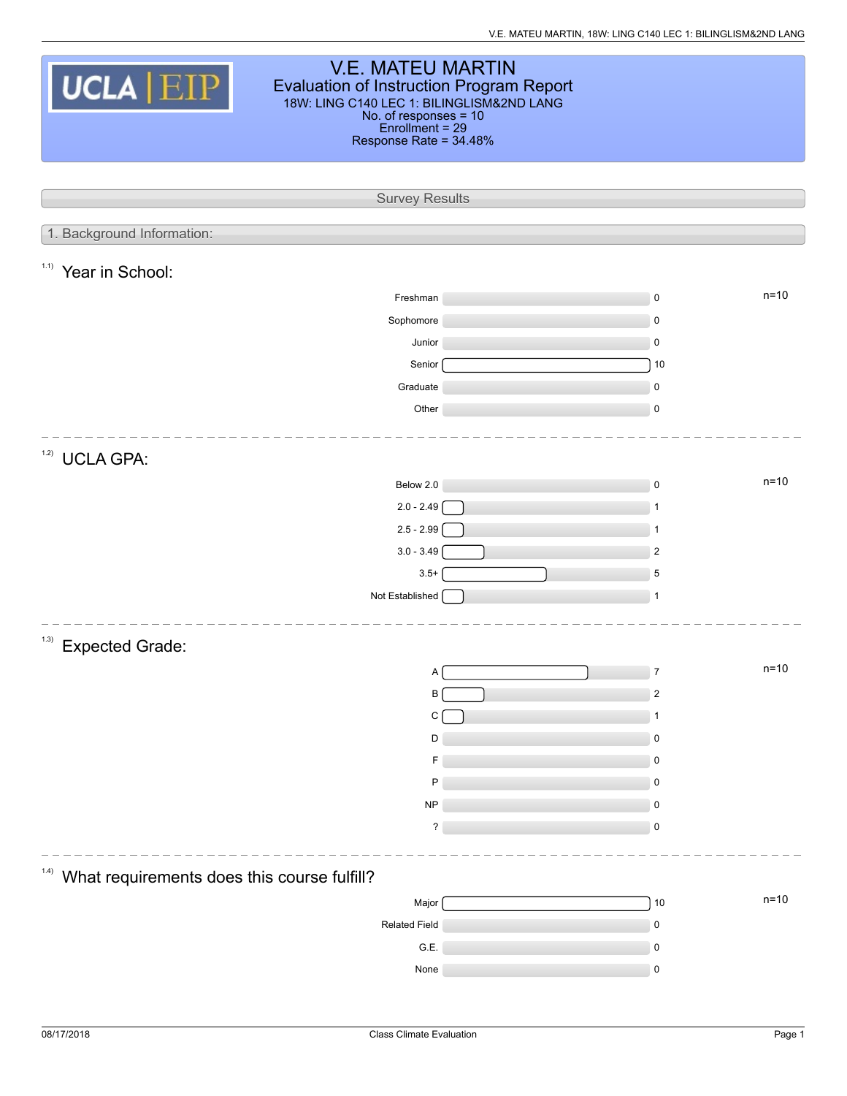| <b>V.E. MATEU MARTIN</b><br><b>UCLA EIP</b><br>Evaluation of Instruction Program Report<br>18W: LING C140 LEC 1: BILINGLISM&2ND LANG<br>No. of responses = 10<br>$Enrollment = 29$<br>Response Rate = 34.48% |  |                         |  |  |  |  |  |  |
|--------------------------------------------------------------------------------------------------------------------------------------------------------------------------------------------------------------|--|-------------------------|--|--|--|--|--|--|
| <b>Survey Results</b>                                                                                                                                                                                        |  |                         |  |  |  |  |  |  |
| 1. Background Information:                                                                                                                                                                                   |  |                         |  |  |  |  |  |  |
| 1.1)                                                                                                                                                                                                         |  |                         |  |  |  |  |  |  |
| Year in School:                                                                                                                                                                                              |  | $n=10$                  |  |  |  |  |  |  |
| Freshman                                                                                                                                                                                                     |  | 0                       |  |  |  |  |  |  |
| Sophomore<br>Junior                                                                                                                                                                                          |  | 0<br>0                  |  |  |  |  |  |  |
| Senior                                                                                                                                                                                                       |  | 10                      |  |  |  |  |  |  |
| Graduate                                                                                                                                                                                                     |  | 0                       |  |  |  |  |  |  |
| Other                                                                                                                                                                                                        |  | 0                       |  |  |  |  |  |  |
| 1.2)<br><b>UCLA GPA:</b>                                                                                                                                                                                     |  |                         |  |  |  |  |  |  |
| Below 2.0                                                                                                                                                                                                    |  | $n=10$<br>$\pmb{0}$     |  |  |  |  |  |  |
| $2.0 - 2.49$                                                                                                                                                                                                 |  | 1                       |  |  |  |  |  |  |
| $2.5 - 2.99$                                                                                                                                                                                                 |  | 1                       |  |  |  |  |  |  |
| $3.0 - 3.49$                                                                                                                                                                                                 |  | $\overline{\mathbf{c}}$ |  |  |  |  |  |  |
| $3.5+$                                                                                                                                                                                                       |  | 5                       |  |  |  |  |  |  |
| Not Established                                                                                                                                                                                              |  | $\mathbf{1}$            |  |  |  |  |  |  |
| (1.3)<br><b>Expected Grade:</b>                                                                                                                                                                              |  |                         |  |  |  |  |  |  |
| Α                                                                                                                                                                                                            |  | n=10<br>7               |  |  |  |  |  |  |
| В                                                                                                                                                                                                            |  | $\overline{\mathbf{c}}$ |  |  |  |  |  |  |
| С                                                                                                                                                                                                            |  | 1                       |  |  |  |  |  |  |
| D                                                                                                                                                                                                            |  | 0                       |  |  |  |  |  |  |
| F                                                                                                                                                                                                            |  | 0                       |  |  |  |  |  |  |
| P                                                                                                                                                                                                            |  | 0                       |  |  |  |  |  |  |
| <b>NP</b><br>?                                                                                                                                                                                               |  | 0<br>$\mathbf 0$        |  |  |  |  |  |  |
|                                                                                                                                                                                                              |  |                         |  |  |  |  |  |  |
| (1.4)<br>What requirements does this course fulfill?                                                                                                                                                         |  |                         |  |  |  |  |  |  |
| Major                                                                                                                                                                                                        |  | $n=10$<br>10            |  |  |  |  |  |  |
| Related Field                                                                                                                                                                                                |  | $\pmb{0}$               |  |  |  |  |  |  |
| G.E.                                                                                                                                                                                                         |  | 0                       |  |  |  |  |  |  |
| None                                                                                                                                                                                                         |  | 0                       |  |  |  |  |  |  |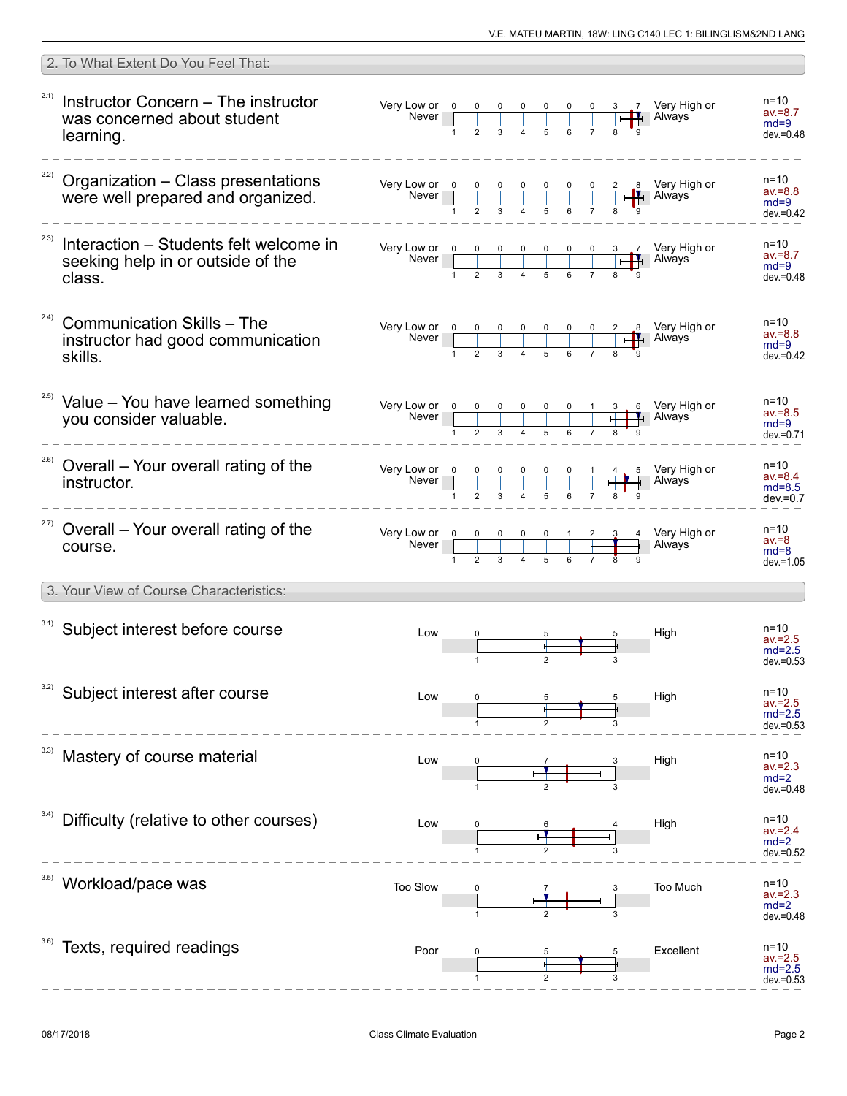|       | 2. To What Extent Do You Feel That:                                                   |                                                                                                                                                                               |   |  |  |                                                                                                                                                                                                                                                                                                                                                                                                        |                                                    |
|-------|---------------------------------------------------------------------------------------|-------------------------------------------------------------------------------------------------------------------------------------------------------------------------------|---|--|--|--------------------------------------------------------------------------------------------------------------------------------------------------------------------------------------------------------------------------------------------------------------------------------------------------------------------------------------------------------------------------------------------------------|----------------------------------------------------|
| 2.1)  | Instructor Concern - The instructor<br>was concerned about student<br>learning.       |                                                                                                                                                                               |   |  |  | 3 7 Very High or<br><b>H</b> Always                                                                                                                                                                                                                                                                                                                                                                    | $n = 10$<br>$av = 8.7$<br>$md=9$<br>$dev = 0.48$   |
|       | $22)$ Organization – Class presentations<br>were well prepared and organized.         |                                                                                                                                                                               |   |  |  |                                                                                                                                                                                                                                                                                                                                                                                                        | $n = 10$<br>$av = 8.8$<br>$md=9$<br>$dev = 0.42$   |
| 2.3)  | Interaction – Students felt welcome in<br>seeking help in or outside of the<br>class. |                                                                                                                                                                               | 1 |  |  | Very Low or $\begin{array}{ c c c c c c }\n\hline\n&\text{N} & \text{O} & \text{O} & \text{O} & \text{O} & \text{O} & \text{O} & \text{O} & \text{O} & \text{O} & \text{O} & \text{O} & \text{O} & \text{O} & \text{O} & \text{O} & \text{O} & \text{O} & \text{O} & \text{O} & \text{O} & \text{O} & \text{O} & \text{O} & \text{O} & \text{O} & \text{O} & \text{O} & \text{O} & \text{O} & \text{O$ | $n=10$<br>$av = 8.7$<br>$md=9$<br>$dev = 0.48$     |
| (2.4) | <b>Communication Skills - The</b><br>instructor had good communication<br>skills.     |                                                                                                                                                                               |   |  |  | Very Low or $\begin{array}{ c c c c c c }\n\hline\n&\text{N} & \text{O} & \text{O} & \text{O} & \text{O} & \text{O} & \text{O} & \text{O} & \text{O} & \text{O} & \text{O} & \text{O} & \text{O} & \text{O} & \text{O} & \text{O} & \text{O} & \text{O} & \text{O} & \text{O} & \text{O} & \text{O} & \text{O} & \text{O} & \text{O} & \text{O} & \text{O} & \text{O} & \text{O} & \text{O} & \text{O$ | n=10<br>$av = 8.8$<br>$md=9$<br>$dev = 0.42$       |
|       | <sup>2.5)</sup> Value - You have learned something<br>you consider valuable.          |                                                                                                                                                                               |   |  |  | Very Low or $\begin{array}{ c c c c c c }\n\hline\n&\text{N} & \text{O} & \text{O} & \text{O} & \text{O} & \text{O} & \text{O} & \text{O} & \text{O} & \text{O} & \text{O} & \text{O} & \text{O} & \text{O} & \text{O} & \text{O} & \text{O} & \text{O} & \text{O} & \text{O} & \text{O} & \text{O} & \text{O} & \text{O} & \text{O} & \text{O} & \text{O} & \text{O} & \text{O} & \text{O} & \text{O$ | n=10<br>$av = 8.5$<br>$md=9$<br>dev.=0.71          |
| 2.6)  | Overall – Your overall rating of the<br>instructor.                                   |                                                                                                                                                                               |   |  |  | $\begin{array}{cc}\n4 & 5 \\ \hline\n\end{array}$ Nery High or                                                                                                                                                                                                                                                                                                                                         | $n = 10$<br>$av = 8.4$<br>$md=8.5$<br>$dev = 0.7$  |
|       | <sup>2.7)</sup> Overall – Your overall rating of the<br>course.                       | Very Low or $\begin{array}{ c c c c c }\n\hline\n0 & 0 & 0 & 0 & 0 & 1 & 2 \\ \hline\n\text{Never} & & & & & & & & & & \\ \hline\n1 & 2 & 3 & 4 & 5 & 6 & 7 & 1\n\end{array}$ |   |  |  | Very High or<br>Always                                                                                                                                                                                                                                                                                                                                                                                 | $n = 10$<br>$av = 8$<br>$md=8$<br>$dev = 1.05$     |
|       | 3. Your View of Course Characteristics:                                               |                                                                                                                                                                               |   |  |  |                                                                                                                                                                                                                                                                                                                                                                                                        |                                                    |
|       | 3.1) Subject interest before course                                                   | Low                                                                                                                                                                           |   |  |  | High                                                                                                                                                                                                                                                                                                                                                                                                   | $n = 10$<br>$av = 2.5$<br>$md=2.5$<br>$dev = 0.53$ |
| 3.2)  | Subject interest after course                                                         | Low                                                                                                                                                                           |   |  |  | High                                                                                                                                                                                                                                                                                                                                                                                                   | n=10<br>av.=2.5<br>$md=2.5$<br>$dev = 0.53$        |
|       | Mastery of course material                                                            | Low                                                                                                                                                                           |   |  |  | High                                                                                                                                                                                                                                                                                                                                                                                                   | $n=10$<br>$av = 2.3$<br>$md=2$<br>$dev = 0.48$     |
| 3.4)  | Difficulty (relative to other courses)                                                | Low                                                                                                                                                                           |   |  |  | High                                                                                                                                                                                                                                                                                                                                                                                                   | $n = 10$<br>$av = 2.4$<br>$md=2$<br>$dev = 0.52$   |
|       | Workload/pace was                                                                     | Too Slow                                                                                                                                                                      |   |  |  | Too Much                                                                                                                                                                                                                                                                                                                                                                                               | $n = 10$<br>$av = 2.3$<br>$md=2$<br>$dev = 0.48$   |
|       | Texts, required readings                                                              | Poor                                                                                                                                                                          |   |  |  | Excellent                                                                                                                                                                                                                                                                                                                                                                                              | n=10<br>av.=2.5<br>$md=2.5$<br>$dev = 0.53$        |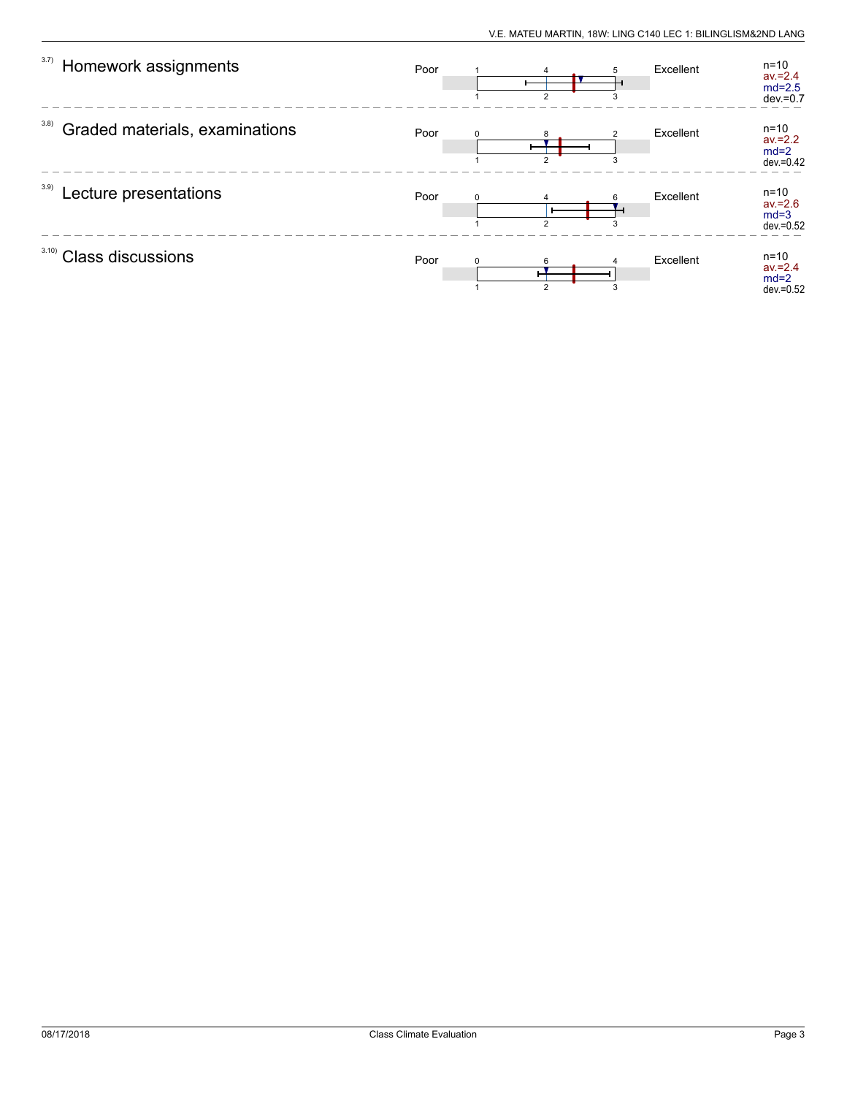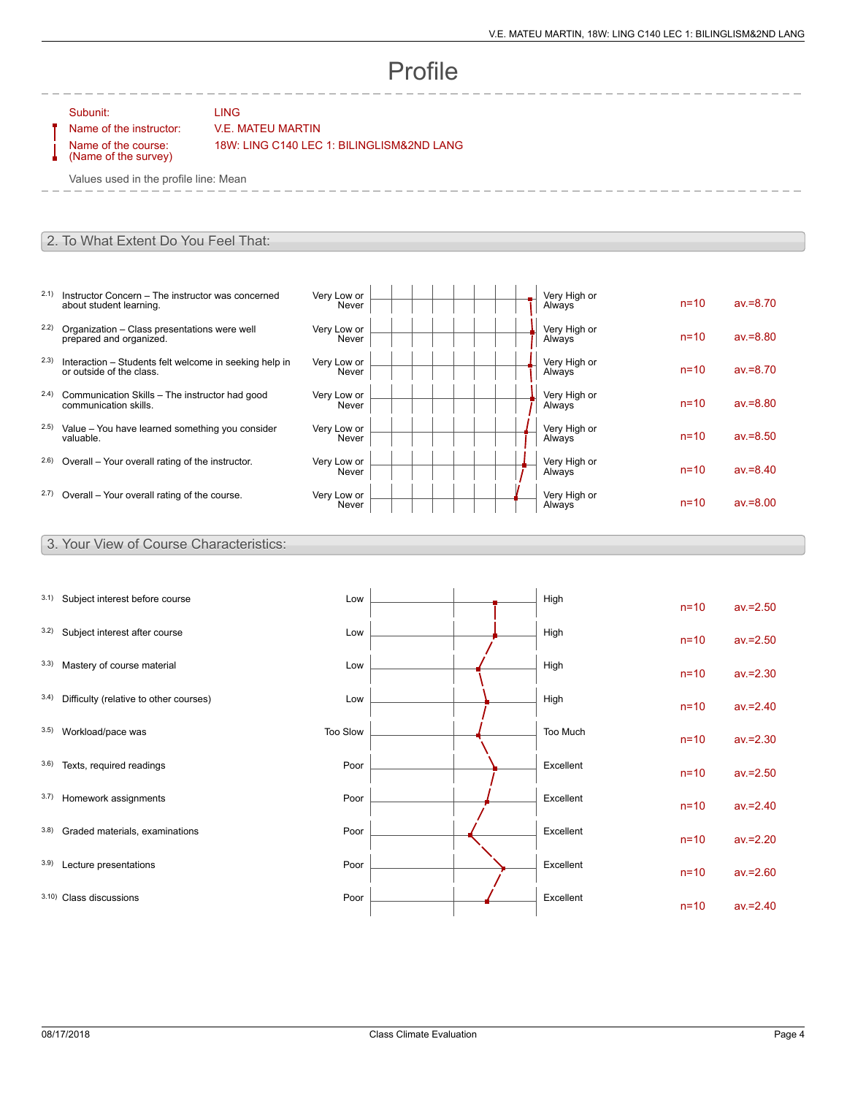# Profile

Subunit: LING

### Name of the instructor: V.E. MATEU MARTIN

Name of the course: (Name of the survey) 18W: LING C140 LEC 1: BILINGLISM&2ND LANG

Values used in the profile line: Mean

#### 2. To What Extent Do You Feel That:

- 2.1) Instructor Concern The instructor was concerned about student learning.
- 2.2) Organization Class presentations were well prepared and organized.
- 2.3) Interaction Students felt welcome in seeking help in or outside of the class.
- 2.4) Communication Skills The instructor had good communication skills.
- 2.5) Value You have learned something you consider valuable.
- $2.6$ ) Overall Your overall rating of the instructor.
- $2.7)$  Overall Your overall rating of the course.

| Very Low or<br>Never | Very High or<br>Always | $n=10$   | $av = 8.70$ |
|----------------------|------------------------|----------|-------------|
| Very Low or<br>Never | Very High or<br>Always | $n = 10$ | $av = 8.80$ |
| Very Low or<br>Never | Very High or<br>Always | $n = 10$ | $av = 8.70$ |
| Very Low or<br>Never | Very High or<br>Always | $n = 10$ | $av = 8.80$ |
| Very Low or<br>Never | Very High or<br>Always | $n = 10$ | $av = 8.50$ |
| Very Low or<br>Never | Very High or<br>Always | $n = 10$ | $av = 8.40$ |
| Very Low or<br>Never | Very High or<br>Always | $n = 10$ | $av = 8.00$ |

#### 3. Your View of Course Characteristics:

| 3.1) | Subject interest before course         | Low      |  | High      | $n=10$ | $av = 2.50$ |
|------|----------------------------------------|----------|--|-----------|--------|-------------|
| 3.2) | Subject interest after course          | Low      |  | High      | $n=10$ | $av = 2.50$ |
| 3.3) | Mastery of course material             | Low      |  | High      | $n=10$ | $av = 2.30$ |
| 3.4) | Difficulty (relative to other courses) | Low      |  | High      | $n=10$ | $av = 2.40$ |
| 3.5) | Workload/pace was                      | Too Slow |  | Too Much  | $n=10$ | $av = 2.30$ |
| 3.6) | Texts, required readings               | Poor     |  | Excellent | $n=10$ | $av = 2.50$ |
| 3.7) | Homework assignments                   | Poor     |  | Excellent | $n=10$ | $av = 2.40$ |
| 3.8) | Graded materials, examinations         | Poor     |  | Excellent | $n=10$ | $av = 2.20$ |
| 3.9) | Lecture presentations                  | Poor     |  | Excellent | $n=10$ | $av = 2.60$ |
|      | 3.10) Class discussions                | Poor     |  | Excellent | $n=10$ | $av = 2.40$ |